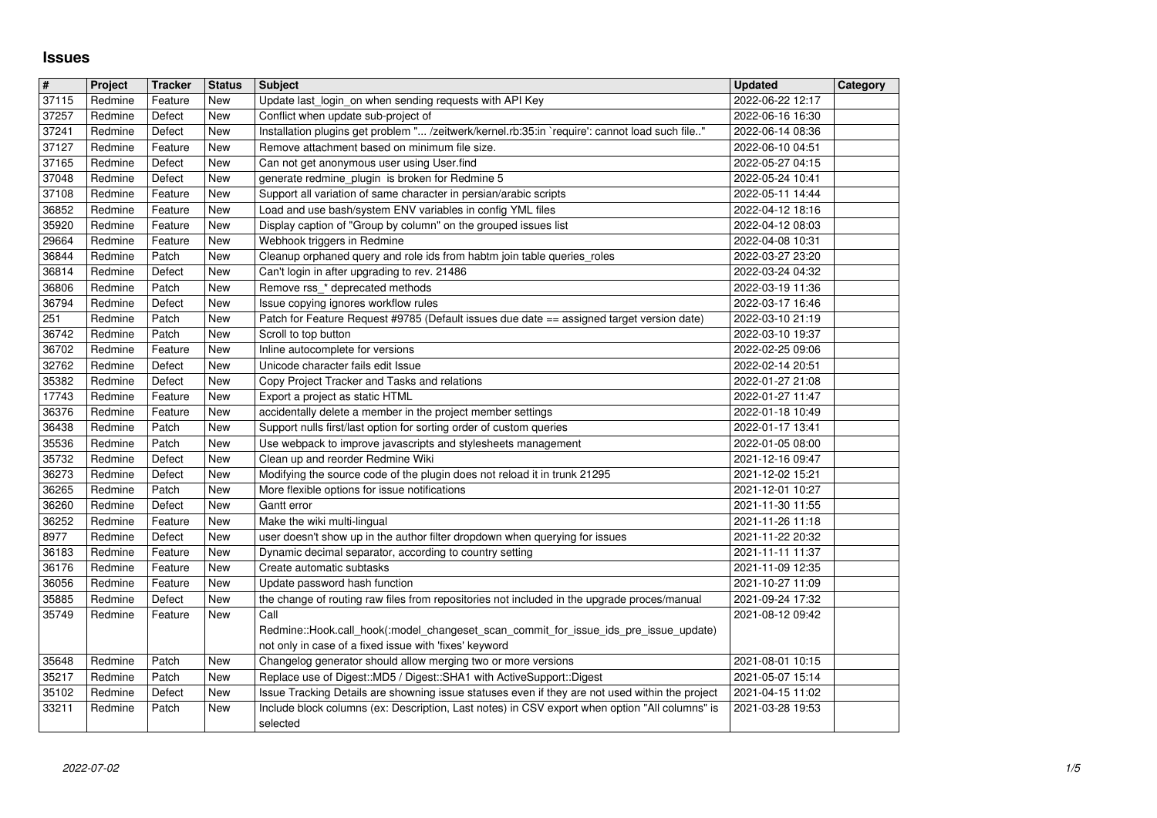## **Issues**

| $\overline{\mathbf{H}}$ | Project            | <b>Tracker</b>     | <b>Status</b>            | <b>Subject</b>                                                                                                                                                             | <b>Updated</b>                       | Category |
|-------------------------|--------------------|--------------------|--------------------------|----------------------------------------------------------------------------------------------------------------------------------------------------------------------------|--------------------------------------|----------|
| 37115                   | Redmine            | Feature            | New                      | Update last login on when sending requests with API Key                                                                                                                    | 2022-06-22 12:17                     |          |
| 37257                   | Redmine            | Defect             | New                      | Conflict when update sub-project of                                                                                                                                        | 2022-06-16 16:30                     |          |
| 37241<br>37127          | Redmine<br>Redmine | Defect<br>Feature  | <b>New</b><br>New        | Installation plugins get problem " /zeitwerk/kernel.rb:35:in `require': cannot load such file"<br>Remove attachment based on minimum file size.                            | 2022-06-14 08:36<br>2022-06-10 04:51 |          |
| 37165                   | Redmine            | Defect             | <b>New</b>               | Can not get anonymous user using User.find                                                                                                                                 | 2022-05-27 04:15                     |          |
| 37048                   | Redmine            | Defect             | <b>New</b>               | generate redmine_plugin_is broken for Redmine 5                                                                                                                            | 2022-05-24 10:41                     |          |
| 37108                   | Redmine            | Feature            | New                      | Support all variation of same character in persian/arabic scripts                                                                                                          | 2022-05-11 14:44                     |          |
| 36852                   | Redmine            | Feature            | <b>New</b>               | Load and use bash/system ENV variables in config YML files                                                                                                                 | 2022-04-12 18:16                     |          |
| 35920<br>29664          | Redmine<br>Redmine | Feature<br>Feature | New<br><b>New</b>        | Display caption of "Group by column" on the grouped issues list<br>Webhook triggers in Redmine                                                                             | 2022-04-12 08:03<br>2022-04-08 10:31 |          |
| 36844                   | Redmine            | Patch              | <b>New</b>               | Cleanup orphaned query and role ids from habtm join table queries_roles                                                                                                    | 2022-03-27 23:20                     |          |
| 36814                   | Redmine            | Defect             | <b>New</b>               | Can't login in after upgrading to rev. 21486                                                                                                                               | 2022-03-24 04:32                     |          |
| 36806                   | Redmine            | Patch              | <b>New</b>               | Remove rss_* deprecated methods                                                                                                                                            | 2022-03-19 11:36                     |          |
| 36794                   | Redmine            | Defect             | New                      | Issue copying ignores workflow rules                                                                                                                                       | 2022-03-17 16:46                     |          |
| 251<br>36742            | Redmine<br>Redmine | Patch<br>Patch     | <b>New</b><br><b>New</b> | Patch for Feature Request #9785 (Default issues due date == assigned target version date)<br>Scroll to top button                                                          | 2022-03-10 21:19<br>2022-03-10 19:37 |          |
| 36702                   | Redmine            | Feature            | <b>New</b>               | Inline autocomplete for versions                                                                                                                                           | 2022-02-25 09:06                     |          |
| 32762                   | Redmine            | Defect             | New                      | Unicode character fails edit Issue                                                                                                                                         | 2022-02-14 20:51                     |          |
| 35382                   | Redmine            | Defect             | New                      | Copy Project Tracker and Tasks and relations                                                                                                                               | 2022-01-27 21:08                     |          |
| 17743<br>36376          | Redmine<br>Redmine | Feature            | <b>New</b>               | Export a project as static HTML<br>accidentally delete a member in the project member settings                                                                             | 2022-01-27 11:47<br>2022-01-18 10:49 |          |
| 36438                   | Redmine            | Feature<br>Patch   | New<br>New               | Support nulls first/last option for sorting order of custom queries                                                                                                        | 2022-01-17 13:41                     |          |
| 35536                   | Redmine            | Patch              | <b>New</b>               | Use webpack to improve javascripts and stylesheets management                                                                                                              | 2022-01-05 08:00                     |          |
| 35732                   | Redmine            | Defect             | <b>New</b>               | Clean up and reorder Redmine Wiki                                                                                                                                          | 2021-12-16 09:47                     |          |
| 36273                   | Redmine            | Defect             | <b>New</b>               | Modifying the source code of the plugin does not reload it in trunk 21295                                                                                                  | 2021-12-02 15:21                     |          |
| 36265<br>36260          | Redmine<br>Redmine | Patch<br>Defect    | <b>New</b><br>New        | More flexible options for issue notifications<br>Gantt error                                                                                                               | 2021-12-01 10:27<br>2021-11-30 11:55 |          |
| 36252                   | Redmine            | Feature            | New                      | Make the wiki multi-lingual                                                                                                                                                | 2021-11-26 11:18                     |          |
| 8977                    | Redmine            | Defect             | <b>New</b>               | user doesn't show up in the author filter dropdown when querying for issues                                                                                                | 2021-11-22 20:32                     |          |
| 36183                   | Redmine            | Feature            | New                      | Dynamic decimal separator, according to country setting                                                                                                                    | 2021-11-11 11:37                     |          |
| 36176                   | Redmine            | Feature            | <b>New</b>               | Create automatic subtasks                                                                                                                                                  | 2021-11-09 12:35                     |          |
| 36056<br>35885          | Redmine<br>Redmine | Feature<br>Defect  | New<br>New               | Update password hash function<br>the change of routing raw files from repositories not included in the upgrade proces/manual                                               | 2021-10-27 11:09<br>2021-09-24 17:32 |          |
| 35749                   | Redmine            | Feature            | New                      | Call                                                                                                                                                                       | 2021-08-12 09:42                     |          |
|                         |                    |                    |                          | Redmine::Hook.call_hook(:model_changeset_scan_commit_for_issue_ids_pre_issue_update)                                                                                       |                                      |          |
|                         |                    |                    |                          | not only in case of a fixed issue with 'fixes' keyword                                                                                                                     |                                      |          |
| 35648                   | Redmine            | Patch              | New                      | Changelog generator should allow merging two or more versions                                                                                                              | 2021-08-01 10:15                     |          |
| 35217<br>35102          | Redmine<br>Redmine | Patch<br>Defect    | New<br>New               | Replace use of Digest:: MD5 / Digest:: SHA1 with ActiveSupport:: Digest<br>Issue Tracking Details are showning issue statuses even if they are not used within the project | 2021-05-07 15:14<br>2021-04-15 11:02 |          |
| 33211                   | Redmine            | Patch              | New                      | Include block columns (ex: Description, Last notes) in CSV export when option "All columns" is                                                                             | 2021-03-28 19:53                     |          |
|                         |                    |                    |                          |                                                                                                                                                                            |                                      |          |
|                         |                    |                    |                          |                                                                                                                                                                            |                                      |          |
|                         |                    |                    |                          |                                                                                                                                                                            |                                      |          |
|                         |                    |                    |                          |                                                                                                                                                                            |                                      |          |
|                         |                    |                    |                          |                                                                                                                                                                            |                                      |          |
|                         |                    |                    |                          |                                                                                                                                                                            |                                      |          |
|                         |                    |                    |                          |                                                                                                                                                                            |                                      |          |
|                         |                    |                    |                          |                                                                                                                                                                            |                                      |          |
|                         |                    |                    |                          |                                                                                                                                                                            |                                      |          |
|                         |                    |                    |                          |                                                                                                                                                                            |                                      |          |
|                         |                    |                    |                          |                                                                                                                                                                            |                                      |          |
|                         |                    |                    |                          |                                                                                                                                                                            |                                      |          |
|                         |                    |                    |                          |                                                                                                                                                                            |                                      |          |
|                         |                    |                    |                          |                                                                                                                                                                            |                                      |          |
|                         |                    |                    |                          |                                                                                                                                                                            |                                      |          |
|                         |                    |                    |                          |                                                                                                                                                                            |                                      |          |
|                         |                    |                    |                          |                                                                                                                                                                            |                                      |          |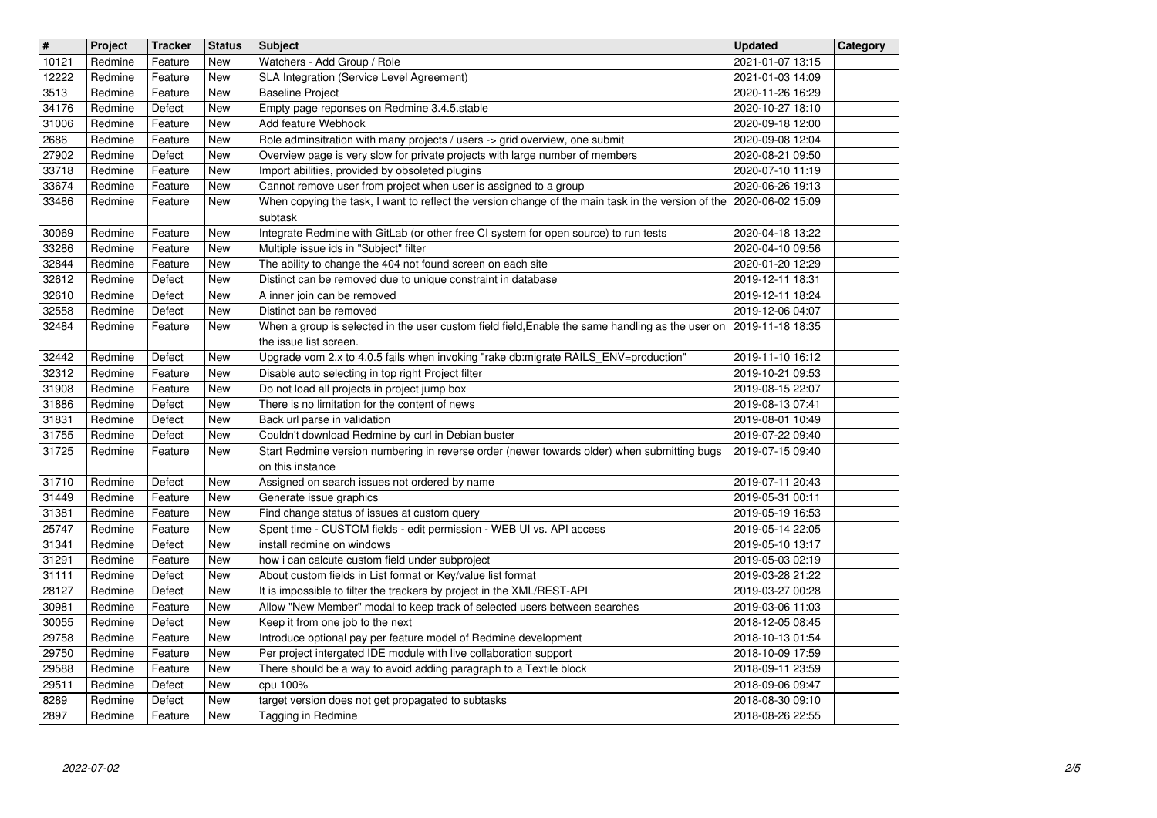| $\overline{\mathbf{H}}$ | Project            | <b>Tracker</b>     | <b>Status</b> | <b>Subject</b>                                                                                                                                                         | <b>Updated</b>                       | Category |
|-------------------------|--------------------|--------------------|---------------|------------------------------------------------------------------------------------------------------------------------------------------------------------------------|--------------------------------------|----------|
| 10121                   | Redmine            | Feature            | New           | Watchers - Add Group / Role                                                                                                                                            | 2021-01-07 13:15                     |          |
| 12222<br>3513           | Redmine<br>Redmine | Feature<br>Feature | New<br>New    | SLA Integration (Service Level Agreement)<br><b>Baseline Project</b>                                                                                                   | 2021-01-03 14:09<br>2020-11-26 16:29 |          |
| 34176                   | Redmine            | Defect             | New           | Empty page reponses on Redmine 3.4.5.stable                                                                                                                            | 2020-10-27 18:10                     |          |
| 31006                   | Redmine            | Feature            | New           | Add feature Webhook                                                                                                                                                    | 2020-09-18 12:00<br>2020-09-08 12:04 |          |
| 2686<br>27902           | Redmine<br>Redmine | Feature<br>Defect  | New<br>New    | Role adminsitration with many projects / users -> grid overview, one submit<br>Overview page is very slow for private projects with large number of members            | 2020-08-21 09:50                     |          |
| 33718                   | Redmine            | Feature            | New           | Import abilities, provided by obsoleted plugins                                                                                                                        | 2020-07-10 11:19                     |          |
| 33674<br>33486          | Redmine<br>Redmine | Feature            | New           | Cannot remove user from project when user is assigned to a group<br>When copying the task, I want to reflect the version change of the main task in the version of the | 2020-06-26 19:13<br>2020-06-02 15:09 |          |
|                         |                    | Feature            | New           | subtask                                                                                                                                                                |                                      |          |
| 30069                   | Redmine            | Feature            | New           | Integrate Redmine with GitLab (or other free CI system for open source) to run tests                                                                                   | 2020-04-18 13:22                     |          |
| 33286<br>32844          | Redmine<br>Redmine | Feature<br>Feature | New<br>New    | Multiple issue ids in "Subject" filter<br>The ability to change the 404 not found screen on each site                                                                  | 2020-04-10 09:56<br>2020-01-20 12:29 |          |
| 32612                   | Redmine            | Defect             | New           | Distinct can be removed due to unique constraint in database                                                                                                           | 2019-12-11 18:31                     |          |
| 32610                   | Redmine            | Defect             | New           | A inner join can be removed                                                                                                                                            | 2019-12-11 18:24                     |          |
| 32558<br>32484          | Redmine<br>Redmine | Defect<br>Feature  | New<br>New    | Distinct can be removed<br>When a group is selected in the user custom field field, Enable the same handling as the user on                                            | 2019-12-06 04:07<br>2019-11-18 18:35 |          |
|                         |                    |                    |               | the issue list screen.                                                                                                                                                 |                                      |          |
| 32442                   | Redmine            | Defect             | New           | Upgrade vom 2.x to 4.0.5 fails when invoking "rake db:migrate RAILS_ENV=production"                                                                                    | 2019-11-10 16:12                     |          |
| 32312<br>31908          | Redmine<br>Redmine | Feature<br>Feature | New<br>New    | Disable auto selecting in top right Project filter<br>Do not load all projects in project jump box                                                                     | 2019-10-21 09:53<br>2019-08-15 22:07 |          |
| 31886                   | Redmine            | Defect             | New           | There is no limitation for the content of news                                                                                                                         | 2019-08-13 07:41                     |          |
| 31831                   | Redmine            | Defect             | New           | Back url parse in validation                                                                                                                                           | 2019-08-01 10:49                     |          |
| 31755<br>31725          | Redmine<br>Redmine | Defect<br>Feature  | New<br>New    | Couldn't download Redmine by curl in Debian buster<br>Start Redmine version numbering in reverse order (newer towards older) when submitting bugs                      | 2019-07-22 09:40<br>2019-07-15 09:40 |          |
|                         |                    |                    |               | on this instance                                                                                                                                                       |                                      |          |
| 31710                   | Redmine            | Defect             | New           | Assigned on search issues not ordered by name                                                                                                                          | 2019-07-11 20:43                     |          |
| 31449<br>31381          | Redmine<br>Redmine | Feature<br>Feature | New<br>New    | Generate issue graphics<br>Find change status of issues at custom query                                                                                                | 2019-05-31 00:11<br>2019-05-19 16:53 |          |
| 25747                   | Redmine            | Feature            | New           | Spent time - CUSTOM fields - edit permission - WEB UI vs. API access                                                                                                   | 2019-05-14 22:05                     |          |
| 31341                   | Redmine            | Defect             | New           | install redmine on windows                                                                                                                                             | 2019-05-10 13:17                     |          |
| 31291<br>31111          | Redmine<br>Redmine | Feature<br>Defect  | New<br>New    | how i can calcute custom field under subproject<br>About custom fields in List format or Key/value list format                                                         | 2019-05-03 02:19<br>2019-03-28 21:22 |          |
| 28127                   | Redmine            | Defect             | New           | It is impossible to filter the trackers by project in the XML/REST-API                                                                                                 | 2019-03-27 00:28                     |          |
| 30981                   | Redmine            | Feature            | New           | Allow "New Member" modal to keep track of selected users between searches                                                                                              | 2019-03-06 11:03                     |          |
| 30055                   | Redmine            | Defect             | New           | Keep it from one job to the next                                                                                                                                       | 2018-12-05 08:45                     |          |
| 29758<br>29750          | Redmine<br>Redmine | Feature<br>Feature | New<br>New    | Introduce optional pay per feature model of Redmine development<br>Per project intergated IDE module with live collaboration support                                   | 2018-10-13 01:54<br>2018-10-09 17:59 |          |
| 29588                   | Redmine            | Feature            | New           | There should be a way to avoid adding paragraph to a Textile block                                                                                                     | 2018-09-11 23:59                     |          |
| 29511                   | Redmine            | Defect             | New           | cpu 100%                                                                                                                                                               | 2018-09-06 09:47<br>2018-08-30 09:10 |          |
| 8289<br>2897            | Redmine<br>Redmine | Defect<br>Feature  | New<br>New    | target version does not get propagated to subtasks<br>Tagging in Redmine                                                                                               | 2018-08-26 22:55                     |          |
|                         |                    |                    |               |                                                                                                                                                                        |                                      |          |
|                         |                    |                    |               |                                                                                                                                                                        |                                      |          |
|                         |                    |                    |               |                                                                                                                                                                        |                                      |          |
|                         |                    |                    |               |                                                                                                                                                                        |                                      |          |
|                         |                    |                    |               |                                                                                                                                                                        |                                      |          |
|                         |                    |                    |               |                                                                                                                                                                        |                                      |          |
|                         |                    |                    |               |                                                                                                                                                                        |                                      |          |
|                         |                    |                    |               |                                                                                                                                                                        |                                      |          |
|                         |                    |                    |               |                                                                                                                                                                        |                                      |          |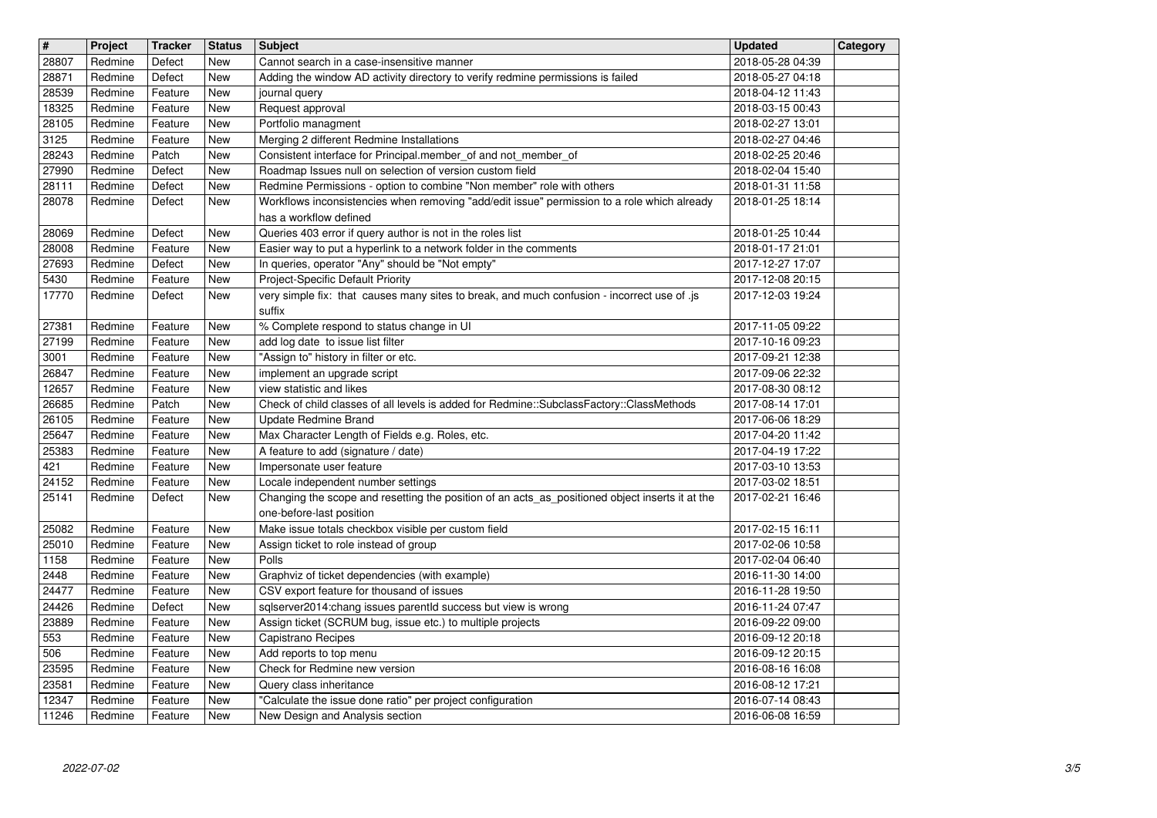| 28871<br>Defect<br>Redmine<br>New<br>Adding the window AD activity directory to verify redmine permissions is failed<br>2018-05-27 04:18<br>28539<br>Redmine<br>2018-04-12 11:43<br>Feature<br>New<br>journal query<br>18325<br>Redmine<br>Request approval<br>Feature<br>New<br>2018-03-15 00:43<br>28105<br>Portfolio managment<br>Redmine<br>New<br>2018-02-27 13:01<br>Feature<br>3125<br>Redmine<br>Merging 2 different Redmine Installations<br>2018-02-27 04:46<br>Feature<br>New<br>28243<br>Redmine<br>Consistent interface for Principal.member_of and not_member_of<br>2018-02-25 20:46<br>Patch<br>New<br>27990<br>Roadmap Issues null on selection of version custom field<br>Redmine<br>Defect<br>New<br>2018-02-04 15:40<br>28111<br>Redmine Permissions - option to combine "Non member" role with others<br>Redmine<br>Defect<br><b>New</b><br>2018-01-31 11:58<br>28078<br>Workflows inconsistencies when removing "add/edit issue" permission to a role which already<br>Redmine<br>Defect<br>2018-01-25 18:14<br>New<br>has a workflow defined<br>28069<br>Queries 403 error if query author is not in the roles list<br>2018-01-25 10:44<br>Redmine<br>Defect<br><b>New</b><br>28008<br>Easier way to put a hyperlink to a network folder in the comments<br>Redmine<br>Feature<br>New<br>2018-01-17 21:01<br>27693<br>In queries, operator "Any" should be "Not empty"<br>2017-12-27 17:07<br>Redmine<br>Defect<br>New<br>5430<br>Project-Specific Default Priority<br>Redmine<br>Feature<br>New<br>2017-12-08 20:15<br>17770<br>very simple fix: that causes many sites to break, and much confusion - incorrect use of .js<br>Redmine<br>Defect<br>New<br>2017-12-03 19:24<br>suffix<br>27381<br>% Complete respond to status change in UI<br>Redmine<br>Feature<br>New<br>2017-11-05 09:22<br>27199<br>add log date to issue list filter<br>Redmine<br>New<br>2017-10-16 09:23<br>Feature<br>"Assign to" history in filter or etc.<br>3001<br>New<br>2017-09-21 12:38<br>Redmine<br>Feature<br>26847<br>Redmine<br>implement an upgrade script<br>Feature<br>New<br>2017-09-06 22:32<br>12657<br>Redmine<br>view statistic and likes<br>Feature<br>New<br>2017-08-30 08:12<br>26685<br>Check of child classes of all levels is added for Redmine::SubclassFactory::ClassMethods<br>2017-08-14 17:01<br>Redmine<br>Patch<br>New<br>26105<br><b>Update Redmine Brand</b><br>Redmine<br>Feature<br>New<br>2017-06-06 18:29<br>25647<br>Max Character Length of Fields e.g. Roles, etc.<br>2017-04-20 11:42<br>Redmine<br>New<br>Feature<br>25383<br>Redmine<br>A feature to add (signature / date)<br>2017-04-19 17:22<br>Feature<br>New<br>Impersonate user feature<br>421<br>Redmine<br>New<br>2017-03-10 13:53<br>Feature<br>24152<br>Locale independent number settings<br>Redmine<br>New<br>2017-03-02 18:51<br>Feature<br>25141<br>Changing the scope and resetting the position of an acts_as_positioned object inserts it at the<br>Redmine<br>Defect<br>New<br>2017-02-21 16:46<br>one-before-last position<br>Make issue totals checkbox visible per custom field<br>25082<br>Redmine<br>Feature<br>New<br>2017-02-15 16:11<br>25010<br>2017-02-06 10:58<br>Redmine<br>New<br>Assign ticket to role instead of group<br>Feature<br>1158<br>Polls<br>Redmine<br>Feature<br>New<br>2017-02-04 06:40<br>2448<br>Graphviz of ticket dependencies (with example)<br>Redmine<br>Feature<br>New<br>2016-11-30 14:00<br>24477<br>CSV export feature for thousand of issues<br>Redmine<br>New<br>2016-11-28 19:50<br>Feature<br>sqlserver2014:chang issues parentId success but view is wrong<br>24426<br>Redmine<br>Defect<br>New<br>2016-11-24 07:47<br>23889<br>Assign ticket (SCRUM bug, issue etc.) to multiple projects<br>Redmine<br>New<br>2016-09-22 09:00<br>Feature<br>553<br>New<br>Capistrano Recipes<br>2016-09-12 20:18<br>Redmine<br>Feature<br>506<br>Feature<br><b>New</b><br>Redmine<br>Add reports to top menu<br>2016-09-12 20:15<br>23595<br>New<br>Check for Redmine new version<br>2016-08-16 16:08<br>Redmine<br>Feature<br>23581<br>2016-08-12 17:21<br>New<br>Query class inheritance<br>Redmine<br>Feature<br>12347<br>"Calculate the issue done ratio" per project configuration<br>2016-07-14 08:43<br>Redmine<br>Feature<br>New<br>11246<br>New Design and Analysis section<br>Redmine<br>Feature<br>New<br>2016-06-08 16:59<br>2022-07-02 | $\overline{\mathbf{H}}$ | Project | <b>Tracker</b> | <b>Status</b> | <b>Subject</b>                             | <b>Updated</b>   | Category |
|--------------------------------------------------------------------------------------------------------------------------------------------------------------------------------------------------------------------------------------------------------------------------------------------------------------------------------------------------------------------------------------------------------------------------------------------------------------------------------------------------------------------------------------------------------------------------------------------------------------------------------------------------------------------------------------------------------------------------------------------------------------------------------------------------------------------------------------------------------------------------------------------------------------------------------------------------------------------------------------------------------------------------------------------------------------------------------------------------------------------------------------------------------------------------------------------------------------------------------------------------------------------------------------------------------------------------------------------------------------------------------------------------------------------------------------------------------------------------------------------------------------------------------------------------------------------------------------------------------------------------------------------------------------------------------------------------------------------------------------------------------------------------------------------------------------------------------------------------------------------------------------------------------------------------------------------------------------------------------------------------------------------------------------------------------------------------------------------------------------------------------------------------------------------------------------------------------------------------------------------------------------------------------------------------------------------------------------------------------------------------------------------------------------------------------------------------------------------------------------------------------------------------------------------------------------------------------------------------------------------------------------------------------------------------------------------------------------------------------------------------------------------------------------------------------------------------------------------------------------------------------------------------------------------------------------------------------------------------------------------------------------------------------------------------------------------------------------------------------------------------------------------------------------------------------------------------------------------------------------------------------------------------------------------------------------------------------------------------------------------------------------------------------------------------------------------------------------------------------------------------------------------------------------------------------------------------------------------------------------------------------------------------------------------------------------------------------------------------------------------------------------------------------------------------------------------------------------------------------------------------------------------------------------------------------------------------------------------------------------------------------------------------------------------------------------------------------------------------------------------------------------------------------------------------------------------------------------------------------------------------------------------------------------------------------------------------------------------------------------------------------------------------|-------------------------|---------|----------------|---------------|--------------------------------------------|------------------|----------|
|                                                                                                                                                                                                                                                                                                                                                                                                                                                                                                                                                                                                                                                                                                                                                                                                                                                                                                                                                                                                                                                                                                                                                                                                                                                                                                                                                                                                                                                                                                                                                                                                                                                                                                                                                                                                                                                                                                                                                                                                                                                                                                                                                                                                                                                                                                                                                                                                                                                                                                                                                                                                                                                                                                                                                                                                                                                                                                                                                                                                                                                                                                                                                                                                                                                                                                                                                                                                                                                                                                                                                                                                                                                                                                                                                                                                                                                                                                                                                                                                                                                                                                                                                                                                                                                                                                                                                                                                  | 28807                   | Redmine | Defect         | New           | Cannot search in a case-insensitive manner | 2018-05-28 04:39 |          |
|                                                                                                                                                                                                                                                                                                                                                                                                                                                                                                                                                                                                                                                                                                                                                                                                                                                                                                                                                                                                                                                                                                                                                                                                                                                                                                                                                                                                                                                                                                                                                                                                                                                                                                                                                                                                                                                                                                                                                                                                                                                                                                                                                                                                                                                                                                                                                                                                                                                                                                                                                                                                                                                                                                                                                                                                                                                                                                                                                                                                                                                                                                                                                                                                                                                                                                                                                                                                                                                                                                                                                                                                                                                                                                                                                                                                                                                                                                                                                                                                                                                                                                                                                                                                                                                                                                                                                                                                  |                         |         |                |               |                                            |                  |          |
|                                                                                                                                                                                                                                                                                                                                                                                                                                                                                                                                                                                                                                                                                                                                                                                                                                                                                                                                                                                                                                                                                                                                                                                                                                                                                                                                                                                                                                                                                                                                                                                                                                                                                                                                                                                                                                                                                                                                                                                                                                                                                                                                                                                                                                                                                                                                                                                                                                                                                                                                                                                                                                                                                                                                                                                                                                                                                                                                                                                                                                                                                                                                                                                                                                                                                                                                                                                                                                                                                                                                                                                                                                                                                                                                                                                                                                                                                                                                                                                                                                                                                                                                                                                                                                                                                                                                                                                                  |                         |         |                |               |                                            |                  |          |
|                                                                                                                                                                                                                                                                                                                                                                                                                                                                                                                                                                                                                                                                                                                                                                                                                                                                                                                                                                                                                                                                                                                                                                                                                                                                                                                                                                                                                                                                                                                                                                                                                                                                                                                                                                                                                                                                                                                                                                                                                                                                                                                                                                                                                                                                                                                                                                                                                                                                                                                                                                                                                                                                                                                                                                                                                                                                                                                                                                                                                                                                                                                                                                                                                                                                                                                                                                                                                                                                                                                                                                                                                                                                                                                                                                                                                                                                                                                                                                                                                                                                                                                                                                                                                                                                                                                                                                                                  |                         |         |                |               |                                            |                  |          |
|                                                                                                                                                                                                                                                                                                                                                                                                                                                                                                                                                                                                                                                                                                                                                                                                                                                                                                                                                                                                                                                                                                                                                                                                                                                                                                                                                                                                                                                                                                                                                                                                                                                                                                                                                                                                                                                                                                                                                                                                                                                                                                                                                                                                                                                                                                                                                                                                                                                                                                                                                                                                                                                                                                                                                                                                                                                                                                                                                                                                                                                                                                                                                                                                                                                                                                                                                                                                                                                                                                                                                                                                                                                                                                                                                                                                                                                                                                                                                                                                                                                                                                                                                                                                                                                                                                                                                                                                  |                         |         |                |               |                                            |                  |          |
|                                                                                                                                                                                                                                                                                                                                                                                                                                                                                                                                                                                                                                                                                                                                                                                                                                                                                                                                                                                                                                                                                                                                                                                                                                                                                                                                                                                                                                                                                                                                                                                                                                                                                                                                                                                                                                                                                                                                                                                                                                                                                                                                                                                                                                                                                                                                                                                                                                                                                                                                                                                                                                                                                                                                                                                                                                                                                                                                                                                                                                                                                                                                                                                                                                                                                                                                                                                                                                                                                                                                                                                                                                                                                                                                                                                                                                                                                                                                                                                                                                                                                                                                                                                                                                                                                                                                                                                                  |                         |         |                |               |                                            |                  |          |
|                                                                                                                                                                                                                                                                                                                                                                                                                                                                                                                                                                                                                                                                                                                                                                                                                                                                                                                                                                                                                                                                                                                                                                                                                                                                                                                                                                                                                                                                                                                                                                                                                                                                                                                                                                                                                                                                                                                                                                                                                                                                                                                                                                                                                                                                                                                                                                                                                                                                                                                                                                                                                                                                                                                                                                                                                                                                                                                                                                                                                                                                                                                                                                                                                                                                                                                                                                                                                                                                                                                                                                                                                                                                                                                                                                                                                                                                                                                                                                                                                                                                                                                                                                                                                                                                                                                                                                                                  |                         |         |                |               |                                            |                  |          |
|                                                                                                                                                                                                                                                                                                                                                                                                                                                                                                                                                                                                                                                                                                                                                                                                                                                                                                                                                                                                                                                                                                                                                                                                                                                                                                                                                                                                                                                                                                                                                                                                                                                                                                                                                                                                                                                                                                                                                                                                                                                                                                                                                                                                                                                                                                                                                                                                                                                                                                                                                                                                                                                                                                                                                                                                                                                                                                                                                                                                                                                                                                                                                                                                                                                                                                                                                                                                                                                                                                                                                                                                                                                                                                                                                                                                                                                                                                                                                                                                                                                                                                                                                                                                                                                                                                                                                                                                  |                         |         |                |               |                                            |                  |          |
|                                                                                                                                                                                                                                                                                                                                                                                                                                                                                                                                                                                                                                                                                                                                                                                                                                                                                                                                                                                                                                                                                                                                                                                                                                                                                                                                                                                                                                                                                                                                                                                                                                                                                                                                                                                                                                                                                                                                                                                                                                                                                                                                                                                                                                                                                                                                                                                                                                                                                                                                                                                                                                                                                                                                                                                                                                                                                                                                                                                                                                                                                                                                                                                                                                                                                                                                                                                                                                                                                                                                                                                                                                                                                                                                                                                                                                                                                                                                                                                                                                                                                                                                                                                                                                                                                                                                                                                                  |                         |         |                |               |                                            |                  |          |
|                                                                                                                                                                                                                                                                                                                                                                                                                                                                                                                                                                                                                                                                                                                                                                                                                                                                                                                                                                                                                                                                                                                                                                                                                                                                                                                                                                                                                                                                                                                                                                                                                                                                                                                                                                                                                                                                                                                                                                                                                                                                                                                                                                                                                                                                                                                                                                                                                                                                                                                                                                                                                                                                                                                                                                                                                                                                                                                                                                                                                                                                                                                                                                                                                                                                                                                                                                                                                                                                                                                                                                                                                                                                                                                                                                                                                                                                                                                                                                                                                                                                                                                                                                                                                                                                                                                                                                                                  |                         |         |                |               |                                            |                  |          |
|                                                                                                                                                                                                                                                                                                                                                                                                                                                                                                                                                                                                                                                                                                                                                                                                                                                                                                                                                                                                                                                                                                                                                                                                                                                                                                                                                                                                                                                                                                                                                                                                                                                                                                                                                                                                                                                                                                                                                                                                                                                                                                                                                                                                                                                                                                                                                                                                                                                                                                                                                                                                                                                                                                                                                                                                                                                                                                                                                                                                                                                                                                                                                                                                                                                                                                                                                                                                                                                                                                                                                                                                                                                                                                                                                                                                                                                                                                                                                                                                                                                                                                                                                                                                                                                                                                                                                                                                  |                         |         |                |               |                                            |                  |          |
|                                                                                                                                                                                                                                                                                                                                                                                                                                                                                                                                                                                                                                                                                                                                                                                                                                                                                                                                                                                                                                                                                                                                                                                                                                                                                                                                                                                                                                                                                                                                                                                                                                                                                                                                                                                                                                                                                                                                                                                                                                                                                                                                                                                                                                                                                                                                                                                                                                                                                                                                                                                                                                                                                                                                                                                                                                                                                                                                                                                                                                                                                                                                                                                                                                                                                                                                                                                                                                                                                                                                                                                                                                                                                                                                                                                                                                                                                                                                                                                                                                                                                                                                                                                                                                                                                                                                                                                                  |                         |         |                |               |                                            |                  |          |
|                                                                                                                                                                                                                                                                                                                                                                                                                                                                                                                                                                                                                                                                                                                                                                                                                                                                                                                                                                                                                                                                                                                                                                                                                                                                                                                                                                                                                                                                                                                                                                                                                                                                                                                                                                                                                                                                                                                                                                                                                                                                                                                                                                                                                                                                                                                                                                                                                                                                                                                                                                                                                                                                                                                                                                                                                                                                                                                                                                                                                                                                                                                                                                                                                                                                                                                                                                                                                                                                                                                                                                                                                                                                                                                                                                                                                                                                                                                                                                                                                                                                                                                                                                                                                                                                                                                                                                                                  |                         |         |                |               |                                            |                  |          |
|                                                                                                                                                                                                                                                                                                                                                                                                                                                                                                                                                                                                                                                                                                                                                                                                                                                                                                                                                                                                                                                                                                                                                                                                                                                                                                                                                                                                                                                                                                                                                                                                                                                                                                                                                                                                                                                                                                                                                                                                                                                                                                                                                                                                                                                                                                                                                                                                                                                                                                                                                                                                                                                                                                                                                                                                                                                                                                                                                                                                                                                                                                                                                                                                                                                                                                                                                                                                                                                                                                                                                                                                                                                                                                                                                                                                                                                                                                                                                                                                                                                                                                                                                                                                                                                                                                                                                                                                  |                         |         |                |               |                                            |                  |          |
|                                                                                                                                                                                                                                                                                                                                                                                                                                                                                                                                                                                                                                                                                                                                                                                                                                                                                                                                                                                                                                                                                                                                                                                                                                                                                                                                                                                                                                                                                                                                                                                                                                                                                                                                                                                                                                                                                                                                                                                                                                                                                                                                                                                                                                                                                                                                                                                                                                                                                                                                                                                                                                                                                                                                                                                                                                                                                                                                                                                                                                                                                                                                                                                                                                                                                                                                                                                                                                                                                                                                                                                                                                                                                                                                                                                                                                                                                                                                                                                                                                                                                                                                                                                                                                                                                                                                                                                                  |                         |         |                |               |                                            |                  |          |
|                                                                                                                                                                                                                                                                                                                                                                                                                                                                                                                                                                                                                                                                                                                                                                                                                                                                                                                                                                                                                                                                                                                                                                                                                                                                                                                                                                                                                                                                                                                                                                                                                                                                                                                                                                                                                                                                                                                                                                                                                                                                                                                                                                                                                                                                                                                                                                                                                                                                                                                                                                                                                                                                                                                                                                                                                                                                                                                                                                                                                                                                                                                                                                                                                                                                                                                                                                                                                                                                                                                                                                                                                                                                                                                                                                                                                                                                                                                                                                                                                                                                                                                                                                                                                                                                                                                                                                                                  |                         |         |                |               |                                            |                  |          |
|                                                                                                                                                                                                                                                                                                                                                                                                                                                                                                                                                                                                                                                                                                                                                                                                                                                                                                                                                                                                                                                                                                                                                                                                                                                                                                                                                                                                                                                                                                                                                                                                                                                                                                                                                                                                                                                                                                                                                                                                                                                                                                                                                                                                                                                                                                                                                                                                                                                                                                                                                                                                                                                                                                                                                                                                                                                                                                                                                                                                                                                                                                                                                                                                                                                                                                                                                                                                                                                                                                                                                                                                                                                                                                                                                                                                                                                                                                                                                                                                                                                                                                                                                                                                                                                                                                                                                                                                  |                         |         |                |               |                                            |                  |          |
|                                                                                                                                                                                                                                                                                                                                                                                                                                                                                                                                                                                                                                                                                                                                                                                                                                                                                                                                                                                                                                                                                                                                                                                                                                                                                                                                                                                                                                                                                                                                                                                                                                                                                                                                                                                                                                                                                                                                                                                                                                                                                                                                                                                                                                                                                                                                                                                                                                                                                                                                                                                                                                                                                                                                                                                                                                                                                                                                                                                                                                                                                                                                                                                                                                                                                                                                                                                                                                                                                                                                                                                                                                                                                                                                                                                                                                                                                                                                                                                                                                                                                                                                                                                                                                                                                                                                                                                                  |                         |         |                |               |                                            |                  |          |
|                                                                                                                                                                                                                                                                                                                                                                                                                                                                                                                                                                                                                                                                                                                                                                                                                                                                                                                                                                                                                                                                                                                                                                                                                                                                                                                                                                                                                                                                                                                                                                                                                                                                                                                                                                                                                                                                                                                                                                                                                                                                                                                                                                                                                                                                                                                                                                                                                                                                                                                                                                                                                                                                                                                                                                                                                                                                                                                                                                                                                                                                                                                                                                                                                                                                                                                                                                                                                                                                                                                                                                                                                                                                                                                                                                                                                                                                                                                                                                                                                                                                                                                                                                                                                                                                                                                                                                                                  |                         |         |                |               |                                            |                  |          |
|                                                                                                                                                                                                                                                                                                                                                                                                                                                                                                                                                                                                                                                                                                                                                                                                                                                                                                                                                                                                                                                                                                                                                                                                                                                                                                                                                                                                                                                                                                                                                                                                                                                                                                                                                                                                                                                                                                                                                                                                                                                                                                                                                                                                                                                                                                                                                                                                                                                                                                                                                                                                                                                                                                                                                                                                                                                                                                                                                                                                                                                                                                                                                                                                                                                                                                                                                                                                                                                                                                                                                                                                                                                                                                                                                                                                                                                                                                                                                                                                                                                                                                                                                                                                                                                                                                                                                                                                  |                         |         |                |               |                                            |                  |          |
|                                                                                                                                                                                                                                                                                                                                                                                                                                                                                                                                                                                                                                                                                                                                                                                                                                                                                                                                                                                                                                                                                                                                                                                                                                                                                                                                                                                                                                                                                                                                                                                                                                                                                                                                                                                                                                                                                                                                                                                                                                                                                                                                                                                                                                                                                                                                                                                                                                                                                                                                                                                                                                                                                                                                                                                                                                                                                                                                                                                                                                                                                                                                                                                                                                                                                                                                                                                                                                                                                                                                                                                                                                                                                                                                                                                                                                                                                                                                                                                                                                                                                                                                                                                                                                                                                                                                                                                                  |                         |         |                |               |                                            |                  |          |
|                                                                                                                                                                                                                                                                                                                                                                                                                                                                                                                                                                                                                                                                                                                                                                                                                                                                                                                                                                                                                                                                                                                                                                                                                                                                                                                                                                                                                                                                                                                                                                                                                                                                                                                                                                                                                                                                                                                                                                                                                                                                                                                                                                                                                                                                                                                                                                                                                                                                                                                                                                                                                                                                                                                                                                                                                                                                                                                                                                                                                                                                                                                                                                                                                                                                                                                                                                                                                                                                                                                                                                                                                                                                                                                                                                                                                                                                                                                                                                                                                                                                                                                                                                                                                                                                                                                                                                                                  |                         |         |                |               |                                            |                  |          |
|                                                                                                                                                                                                                                                                                                                                                                                                                                                                                                                                                                                                                                                                                                                                                                                                                                                                                                                                                                                                                                                                                                                                                                                                                                                                                                                                                                                                                                                                                                                                                                                                                                                                                                                                                                                                                                                                                                                                                                                                                                                                                                                                                                                                                                                                                                                                                                                                                                                                                                                                                                                                                                                                                                                                                                                                                                                                                                                                                                                                                                                                                                                                                                                                                                                                                                                                                                                                                                                                                                                                                                                                                                                                                                                                                                                                                                                                                                                                                                                                                                                                                                                                                                                                                                                                                                                                                                                                  |                         |         |                |               |                                            |                  |          |
|                                                                                                                                                                                                                                                                                                                                                                                                                                                                                                                                                                                                                                                                                                                                                                                                                                                                                                                                                                                                                                                                                                                                                                                                                                                                                                                                                                                                                                                                                                                                                                                                                                                                                                                                                                                                                                                                                                                                                                                                                                                                                                                                                                                                                                                                                                                                                                                                                                                                                                                                                                                                                                                                                                                                                                                                                                                                                                                                                                                                                                                                                                                                                                                                                                                                                                                                                                                                                                                                                                                                                                                                                                                                                                                                                                                                                                                                                                                                                                                                                                                                                                                                                                                                                                                                                                                                                                                                  |                         |         |                |               |                                            |                  |          |
|                                                                                                                                                                                                                                                                                                                                                                                                                                                                                                                                                                                                                                                                                                                                                                                                                                                                                                                                                                                                                                                                                                                                                                                                                                                                                                                                                                                                                                                                                                                                                                                                                                                                                                                                                                                                                                                                                                                                                                                                                                                                                                                                                                                                                                                                                                                                                                                                                                                                                                                                                                                                                                                                                                                                                                                                                                                                                                                                                                                                                                                                                                                                                                                                                                                                                                                                                                                                                                                                                                                                                                                                                                                                                                                                                                                                                                                                                                                                                                                                                                                                                                                                                                                                                                                                                                                                                                                                  |                         |         |                |               |                                            |                  |          |
|                                                                                                                                                                                                                                                                                                                                                                                                                                                                                                                                                                                                                                                                                                                                                                                                                                                                                                                                                                                                                                                                                                                                                                                                                                                                                                                                                                                                                                                                                                                                                                                                                                                                                                                                                                                                                                                                                                                                                                                                                                                                                                                                                                                                                                                                                                                                                                                                                                                                                                                                                                                                                                                                                                                                                                                                                                                                                                                                                                                                                                                                                                                                                                                                                                                                                                                                                                                                                                                                                                                                                                                                                                                                                                                                                                                                                                                                                                                                                                                                                                                                                                                                                                                                                                                                                                                                                                                                  |                         |         |                |               |                                            |                  |          |
|                                                                                                                                                                                                                                                                                                                                                                                                                                                                                                                                                                                                                                                                                                                                                                                                                                                                                                                                                                                                                                                                                                                                                                                                                                                                                                                                                                                                                                                                                                                                                                                                                                                                                                                                                                                                                                                                                                                                                                                                                                                                                                                                                                                                                                                                                                                                                                                                                                                                                                                                                                                                                                                                                                                                                                                                                                                                                                                                                                                                                                                                                                                                                                                                                                                                                                                                                                                                                                                                                                                                                                                                                                                                                                                                                                                                                                                                                                                                                                                                                                                                                                                                                                                                                                                                                                                                                                                                  |                         |         |                |               |                                            |                  |          |
|                                                                                                                                                                                                                                                                                                                                                                                                                                                                                                                                                                                                                                                                                                                                                                                                                                                                                                                                                                                                                                                                                                                                                                                                                                                                                                                                                                                                                                                                                                                                                                                                                                                                                                                                                                                                                                                                                                                                                                                                                                                                                                                                                                                                                                                                                                                                                                                                                                                                                                                                                                                                                                                                                                                                                                                                                                                                                                                                                                                                                                                                                                                                                                                                                                                                                                                                                                                                                                                                                                                                                                                                                                                                                                                                                                                                                                                                                                                                                                                                                                                                                                                                                                                                                                                                                                                                                                                                  |                         |         |                |               |                                            |                  |          |
|                                                                                                                                                                                                                                                                                                                                                                                                                                                                                                                                                                                                                                                                                                                                                                                                                                                                                                                                                                                                                                                                                                                                                                                                                                                                                                                                                                                                                                                                                                                                                                                                                                                                                                                                                                                                                                                                                                                                                                                                                                                                                                                                                                                                                                                                                                                                                                                                                                                                                                                                                                                                                                                                                                                                                                                                                                                                                                                                                                                                                                                                                                                                                                                                                                                                                                                                                                                                                                                                                                                                                                                                                                                                                                                                                                                                                                                                                                                                                                                                                                                                                                                                                                                                                                                                                                                                                                                                  |                         |         |                |               |                                            |                  |          |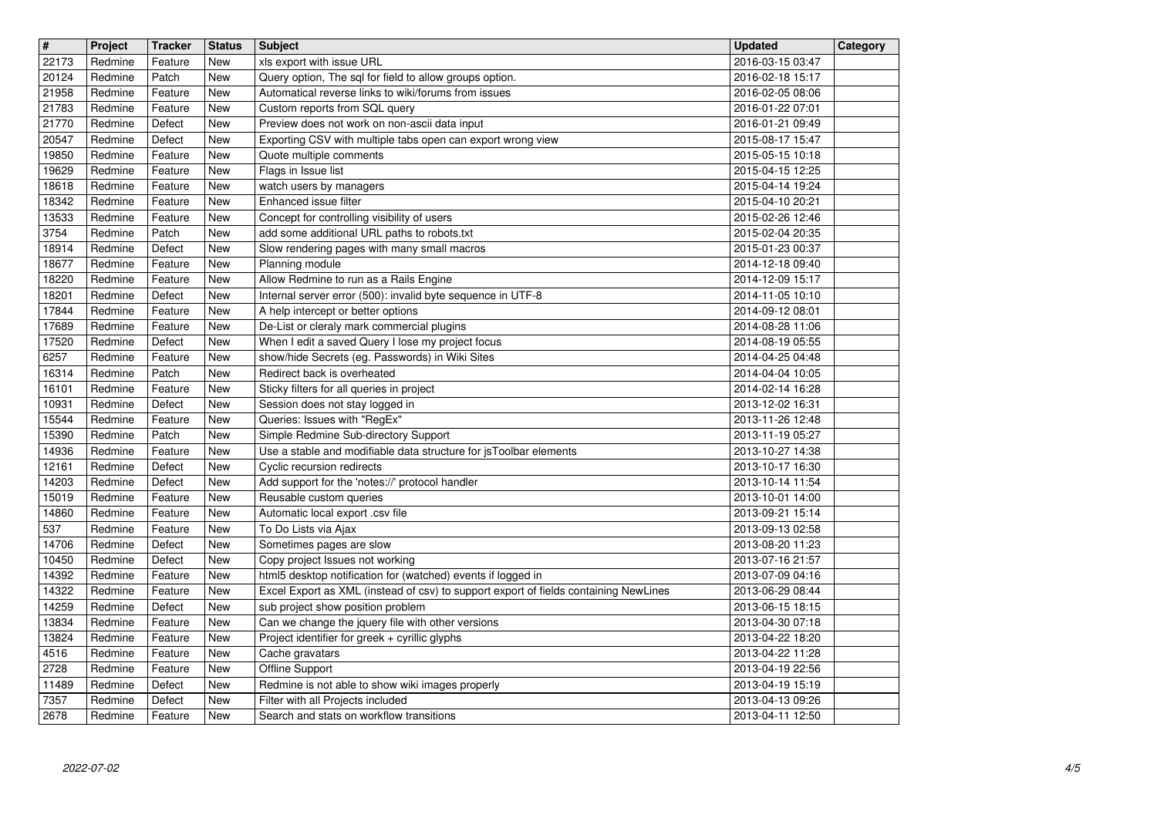| $\overline{\mathbf{H}}$ | Project            | <b>Tracker</b>     | <b>Status</b><br><b>New</b> | <b>Subject</b>                                                                                        | <b>Updated</b>                       | Category |
|-------------------------|--------------------|--------------------|-----------------------------|-------------------------------------------------------------------------------------------------------|--------------------------------------|----------|
| 22173<br>20124          | Redmine<br>Redmine | Feature<br>Patch   | New                         | xls export with issue URL<br>Query option, The sql for field to allow groups option.                  | 2016-03-15 03:47<br>2016-02-18 15:17 |          |
| 21958<br>21783          | Redmine<br>Redmine | Feature<br>Feature | New<br>New                  | Automatical reverse links to wiki/forums from issues<br>Custom reports from SQL query                 | 2016-02-05 08:06<br>2016-01-22 07:01 |          |
| 21770                   | Redmine            | Defect             | New                         | Preview does not work on non-ascii data input                                                         | 2016-01-21 09:49                     |          |
| 20547<br>19850          | Redmine<br>Redmine | Defect<br>Feature  | <b>New</b><br>New           | Exporting CSV with multiple tabs open can export wrong view<br>Quote multiple comments                | 2015-08-17 15:47<br>2015-05-15 10:18 |          |
| 19629                   | Redmine            | Feature            | New                         | Flags in Issue list                                                                                   | 2015-04-15 12:25                     |          |
| 18618                   | Redmine            | Feature<br>Feature | New                         | watch users by managers<br>Enhanced issue filter                                                      | 2015-04-14 19:24                     |          |
| 18342<br>13533          | Redmine<br>Redmine | Feature            | New<br>New                  | Concept for controlling visibility of users                                                           | 2015-04-10 20:21<br>2015-02-26 12:46 |          |
| 3754                    | Redmine            | Patch              | New                         | add some additional URL paths to robots.txt                                                           | 2015-02-04 20:35                     |          |
| 18914<br>18677          | Redmine<br>Redmine | Defect<br>Feature  | New<br><b>New</b>           | Slow rendering pages with many small macros<br>Planning module                                        | 2015-01-23 00:37<br>2014-12-18 09:40 |          |
| 18220<br>18201          | Redmine<br>Redmine | Feature<br>Defect  | <b>New</b><br><b>New</b>    | Allow Redmine to run as a Rails Engine<br>Internal server error (500): invalid byte sequence in UTF-8 | 2014-12-09 15:17<br>2014-11-05 10:10 |          |
| 17844                   | Redmine            | Feature            | <b>New</b>                  | A help intercept or better options                                                                    | 2014-09-12 08:01                     |          |
| 17689<br>17520          | Redmine<br>Redmine | Feature<br>Defect  | New<br>New                  | De-List or cleraly mark commercial plugins<br>When I edit a saved Query I lose my project focus       | 2014-08-28 11:06<br>2014-08-19 05:55 |          |
| 6257                    | Redmine            | Feature            | New                         | show/hide Secrets (eg. Passwords) in Wiki Sites                                                       | 2014-04-25 04:48                     |          |
| 16314<br>16101          | Redmine<br>Redmine | Patch<br>Feature   | <b>New</b><br>New           | Redirect back is overheated<br>Sticky filters for all queries in project                              | 2014-04-04 10:05<br>2014-02-14 16:28 |          |
| 10931                   | Redmine            | Defect             | New                         | Session does not stay logged in                                                                       | 2013-12-02 16:31                     |          |
| 15544<br>15390          | Redmine<br>Redmine | Feature<br>Patch   | New<br>New                  | Queries: Issues with "RegEx"<br>Simple Redmine Sub-directory Support                                  | 2013-11-26 12:48<br>2013-11-19 05:27 |          |
| 14936                   | Redmine            | Feature            | New                         | Use a stable and modifiable data structure for jsToolbar elements                                     | 2013-10-27 14:38                     |          |
| 12161<br>14203          | Redmine<br>Redmine | Defect<br>Defect   | New<br>New                  | Cyclic recursion redirects<br>Add support for the 'notes://' protocol handler                         | 2013-10-17 16:30<br>2013-10-14 11:54 |          |
| 15019                   | Redmine            | Feature            | New                         | Reusable custom queries                                                                               | 2013-10-01 14:00                     |          |
| 14860<br>537            | Redmine<br>Redmine | Feature<br>Feature | <b>New</b><br>New           | Automatic local export .csv file<br>To Do Lists via Ajax                                              | 2013-09-21 15:14<br>2013-09-13 02:58 |          |
| 14706                   | Redmine            | Defect             | <b>New</b>                  | Sometimes pages are slow                                                                              | 2013-08-20 11:23                     |          |
| 10450<br>14392          | Redmine<br>Redmine | Defect<br>Feature  | <b>New</b><br><b>New</b>    | Copy project Issues not working<br>html5 desktop notification for (watched) events if logged in       | 2013-07-16 21:57<br>2013-07-09 04:16 |          |
| 14322                   | Redmine            | Feature            | New                         | Excel Export as XML (instead of csv) to support export of fields containing NewLines                  | 2013-06-29 08:44                     |          |
| 14259<br>13834          | Redmine<br>Redmine | Defect<br>Feature  | New<br><b>New</b>           | sub project show position problem<br>Can we change the jquery file with other versions                | 2013-06-15 18:15<br>2013-04-30 07:18 |          |
| 13824<br>4516           | Redmine<br>Redmine | Feature<br>Feature | New<br>New                  | Project identifier for greek + cyrillic glyphs                                                        | 2013-04-22 18:20<br>2013-04-22 11:28 |          |
| 2728                    | Redmine            | Feature            | New                         | Cache gravatars<br>Offline Support                                                                    | 2013-04-19 22:56                     |          |
| 11489<br>7357           | Redmine<br>Redmine | Defect<br>Defect   | New<br>New                  | Redmine is not able to show wiki images properly<br>Filter with all Projects included                 | 2013-04-19 15:19<br>2013-04-13 09:26 |          |
| 2678                    | Redmine            | Feature            | New                         | Search and stats on workflow transitions                                                              | 2013-04-11 12:50                     |          |
|                         |                    |                    |                             |                                                                                                       |                                      |          |
|                         |                    |                    |                             |                                                                                                       |                                      |          |
|                         |                    |                    |                             |                                                                                                       |                                      |          |
|                         |                    |                    |                             |                                                                                                       |                                      |          |
|                         |                    |                    |                             |                                                                                                       |                                      |          |
|                         |                    |                    |                             |                                                                                                       |                                      |          |
|                         |                    |                    |                             |                                                                                                       |                                      |          |
|                         |                    |                    |                             |                                                                                                       |                                      |          |